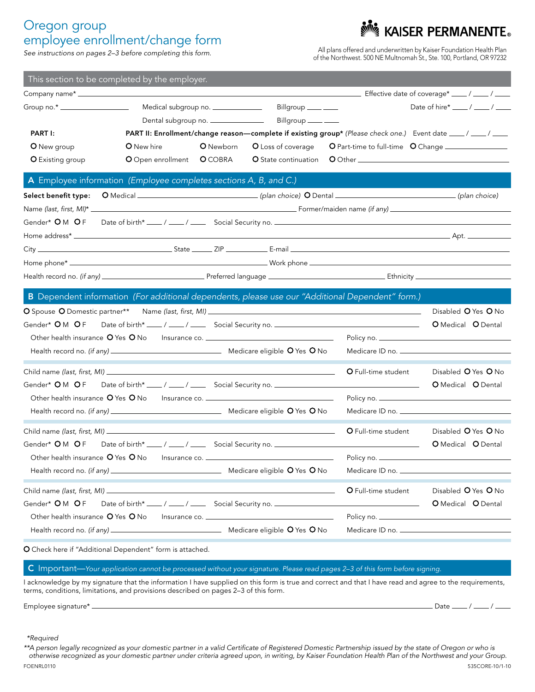# Oregon group employee enrollment/change form<br>See instructions on pages 2-3 before completing this form.

All plans offered and underwritten by Kaiser Foundation Health Plan of the Northwest. 500 NE Multnomah St., Ste. 100, Portland, OR 97232

KAISER PERMANENTE®

| This section to be completed by the employer.                                                                                                                        |                                    |           |                                                                                  |                                                                                                  |                                                                                                             |  |
|----------------------------------------------------------------------------------------------------------------------------------------------------------------------|------------------------------------|-----------|----------------------------------------------------------------------------------|--------------------------------------------------------------------------------------------------|-------------------------------------------------------------------------------------------------------------|--|
|                                                                                                                                                                      |                                    |           |                                                                                  |                                                                                                  |                                                                                                             |  |
| Group no.* __________________                                                                                                                                        | Medical subgroup no. _____________ |           | Billgroup ____ __                                                                |                                                                                                  | Date of hire* $\frac{1}{2}$ / $\frac{1}{2}$ / $\frac{1}{2}$                                                 |  |
|                                                                                                                                                                      | Dental subgroup no. ______________ |           | Billgroup ____ __                                                                |                                                                                                  |                                                                                                             |  |
| PART I:                                                                                                                                                              |                                    |           |                                                                                  |                                                                                                  | PART II: Enrollment/change reason-complete if existing group* (Please check one.) Event date ____/ ___/ ___ |  |
| O New group                                                                                                                                                          | <b>O</b> New hire                  | O Newborn | O Loss of coverage                                                               |                                                                                                  | O Part-time to full-time O Change                                                                           |  |
| <b>O</b> Existing group<br>O Open enrollment O COBRA                                                                                                                 |                                    |           | <b>O</b> State continuation                                                      |                                                                                                  |                                                                                                             |  |
| A Employee information (Employee completes sections A, B, and C.)                                                                                                    |                                    |           |                                                                                  |                                                                                                  |                                                                                                             |  |
|                                                                                                                                                                      |                                    |           |                                                                                  |                                                                                                  |                                                                                                             |  |
|                                                                                                                                                                      |                                    |           |                                                                                  |                                                                                                  |                                                                                                             |  |
|                                                                                                                                                                      |                                    |           |                                                                                  |                                                                                                  |                                                                                                             |  |
|                                                                                                                                                                      |                                    |           |                                                                                  |                                                                                                  |                                                                                                             |  |
|                                                                                                                                                                      |                                    |           |                                                                                  |                                                                                                  |                                                                                                             |  |
|                                                                                                                                                                      |                                    |           |                                                                                  |                                                                                                  |                                                                                                             |  |
|                                                                                                                                                                      |                                    |           |                                                                                  |                                                                                                  |                                                                                                             |  |
|                                                                                                                                                                      |                                    |           |                                                                                  |                                                                                                  |                                                                                                             |  |
|                                                                                                                                                                      |                                    |           |                                                                                  | B Dependent information (For additional dependents, please use our "Additional Dependent" form.) |                                                                                                             |  |
|                                                                                                                                                                      |                                    |           |                                                                                  | Disabled O Yes O No                                                                              |                                                                                                             |  |
|                                                                                                                                                                      |                                    |           |                                                                                  |                                                                                                  | O Medical O Dental                                                                                          |  |
| Other health insurance O Yes O No Insurance co. ________________________________                                                                                     |                                    |           |                                                                                  |                                                                                                  |                                                                                                             |  |
|                                                                                                                                                                      |                                    |           |                                                                                  |                                                                                                  |                                                                                                             |  |
|                                                                                                                                                                      |                                    |           |                                                                                  | O Full-time student                                                                              | Disabled O Yes O No                                                                                         |  |
| Gender* <b>O</b> M <b>O</b> F                                                                                                                                        |                                    |           |                                                                                  | <u> 1990 - Johann Barbara, martxa al</u>                                                         | O Medical O Dental                                                                                          |  |
| Date of birth* ___/ ___/ ____ Social Security no. ______________________________<br>Other health insurance O Yes O No Insurance co. ________________________________ |                                    |           |                                                                                  |                                                                                                  |                                                                                                             |  |
|                                                                                                                                                                      |                                    |           |                                                                                  |                                                                                                  |                                                                                                             |  |
|                                                                                                                                                                      |                                    |           |                                                                                  |                                                                                                  |                                                                                                             |  |
|                                                                                                                                                                      |                                    |           |                                                                                  | <b>O</b> Full-time student                                                                       | Disabled O Yes O No                                                                                         |  |
| Gender* OM OF                                                                                                                                                        |                                    |           |                                                                                  | Date of birth* ___/ ___/ ____ Social Security no. ______________________________                 | <b>O</b> Medical <b>O</b> Dental                                                                            |  |
| Other health insurance O Yes O No Insurance co. ________________________________                                                                                     |                                    |           |                                                                                  |                                                                                                  |                                                                                                             |  |
|                                                                                                                                                                      |                                    |           | Medicare ID no. ______                                                           |                                                                                                  |                                                                                                             |  |
| Child name (last, first, MI) _____________                                                                                                                           |                                    |           |                                                                                  | O Full-time student                                                                              | Disabled O Yes O No                                                                                         |  |
| Gender* OM OF                                                                                                                                                        |                                    |           | Date of birth* ___/ ___/ ____ Social Security no. ______________________________ |                                                                                                  | O Medical O Dental                                                                                          |  |
| Other health insurance O Yes O No                                                                                                                                    |                                    |           |                                                                                  |                                                                                                  |                                                                                                             |  |
|                                                                                                                                                                      |                                    |           |                                                                                  |                                                                                                  |                                                                                                             |  |
|                                                                                                                                                                      |                                    |           |                                                                                  |                                                                                                  |                                                                                                             |  |

O Check here if "Additional Dependent" form is attached.

C Important—*Your application cannot be processed without your signature. Please read pages 2–3 of this form before signing.*

I acknowledge by my signature that the information I have supplied on this form is true and correct and that I have read and agree to the requirements, terms, conditions, limitations, and provisions described on pages 2–3 of this form.

Employee signature\* Date / /

*\*\*Required*

*\*\*A person legally recognized as your domestic partner in a valid Certificate of Registered Domestic Partnership issued by the state of Oregon or who is otherwise recognized as your domestic partner under criteria agreed upon, in writing, by Kaiser Foundation Health Plan of the Northwest and your Group.*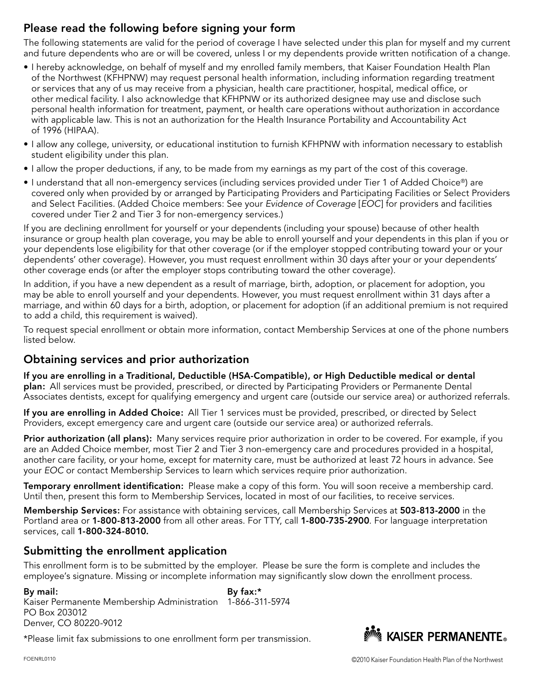### Please read the following before signing your form

The following statements are valid for the period of coverage I have selected under this plan for myself and my current and future dependents who are or will be covered, unless I or my dependents provide written notification of a change.

- I hereby acknowledge, on behalf of myself and my enrolled family members, that Kaiser Foundation Health Plan of the Northwest (KFHPNW) may request personal health information, including information regarding treatment or services that any of us may receive from a physician, health care practitioner, hospital, medical office, or other medical facility. I also acknowledge that KFHPNW or its authorized designee may use and disclose such personal health information for treatment, payment, or health care operations without authorization in accordance with applicable law. This is not an authorization for the Health Insurance Portability and Accountability Act of 1996 (HIPAA).
- I allow any college, university, or educational institution to furnish KFHPNW with information necessary to establish student eligibility under this plan.
- I allow the proper deductions, if any, to be made from my earnings as my part of the cost of this coverage.
- I understand that all non-emergency services (including services provided under Tier 1 of Added Choice®) are covered only when provided by or arranged by Participating Providers and Participating Facilities or Select Providers and Select Facilities. (Added Choice members: See your *Evidence of Coverage* [*EOC*] for providers and facilities covered under Tier 2 and Tier 3 for non-emergency services.)

If you are declining enrollment for yourself or your dependents (including your spouse) because of other health insurance or group health plan coverage, you may be able to enroll yourself and your dependents in this plan if you or your dependents lose eligibility for that other coverage (or if the employer stopped contributing toward your or your dependents' other coverage). However, you must request enrollment within 30 days after your or your dependents' other coverage ends (or after the employer stops contributing toward the other coverage).

In addition, if you have a new dependent as a result of marriage, birth, adoption, or placement for adoption, you may be able to enroll yourself and your dependents. However, you must request enrollment within 31 days after a marriage, and within 60 days for a birth, adoption, or placement for adoption (if an additional premium is not required to add a child, this requirement is waived).

To request special enrollment or obtain more information, contact Membership Services at one of the phone numbers listed below.

#### Obtaining services and prior authorization

If you are enrolling in a Traditional, Deductible (HSA-Compatible), or High Deductible medical or dental plan: All services must be provided, prescribed, or directed by Participating Providers or Permanente Dental Associates dentists, except for qualifying emergency and urgent care (outside our service area) or authorized referrals.

If you are enrolling in Added Choice: All Tier 1 services must be provided, prescribed, or directed by Select Providers, except emergency care and urgent care (outside our service area) or authorized referrals.

Prior authorization (all plans): Many services require prior authorization in order to be covered. For example, if you are an Added Choice member, most Tier 2 and Tier 3 non-emergency care and procedures provided in a hospital, another care facility, or your home, except for maternity care, must be authorized at least 72 hours in advance. See your *EOC* or contact Membership Services to learn which services require prior authorization.

Temporary enrollment identification: Please make a copy of this form. You will soon receive a membership card. Until then, present this form to Membership Services, located in most of our facilities, to receive services.

Membership Services: For assistance with obtaining services, call Membership Services at 503-813-2000 in the Portland area or 1-800-813-2000 from all other areas. For TTY, call 1-800-735-2900. For language interpretation services, call 1-800-324-8010.

#### Submitting the enrollment application

This enrollment form is to be submitted by the employer. Please be sure the form is complete and includes the employee's signature. Missing or incomplete information may significantly slow down the enrollment process.

By mail: Kaiser Permanente Membership Administration 1-866-311-5974 PO Box 203012 Denver, CO 80220-9012 By fax:\*

\*Please limit fax submissions to one enrollment form per transmission.